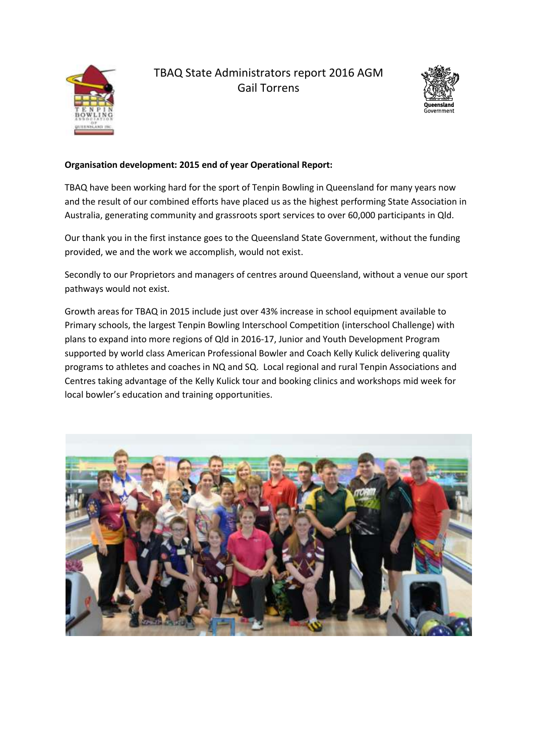

# TBAQ State Administrators report 2016 AGM Gail Torrens



## **Organisation development: 2015 end of year Operational Report:**

TBAQ have been working hard for the sport of Tenpin Bowling in Queensland for many years now and the result of our combined efforts have placed us as the highest performing State Association in Australia, generating community and grassroots sport services to over 60,000 participants in Qld.

Our thank you in the first instance goes to the Queensland State Government, without the funding provided, we and the work we accomplish, would not exist.

Secondly to our Proprietors and managers of centres around Queensland, without a venue our sport pathways would not exist.

Growth areas for TBAQ in 2015 include just over 43% increase in school equipment available to Primary schools, the largest Tenpin Bowling Interschool Competition (interschool Challenge) with plans to expand into more regions of Qld in 2016-17, Junior and Youth Development Program supported by world class American Professional Bowler and Coach Kelly Kulick delivering quality programs to athletes and coaches in NQ and SQ. Local regional and rural Tenpin Associations and Centres taking advantage of the Kelly Kulick tour and booking clinics and workshops mid week for local bowler's education and training opportunities.

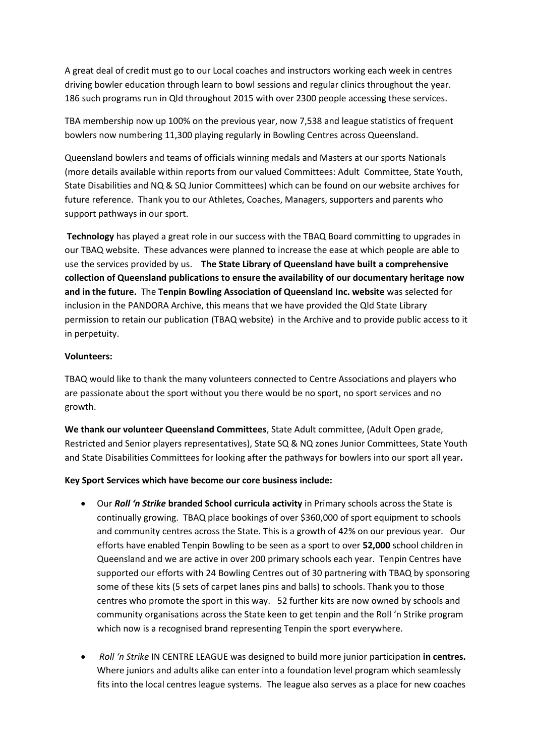A great deal of credit must go to our Local coaches and instructors working each week in centres driving bowler education through learn to bowl sessions and regular clinics throughout the year. 186 such programs run in Qld throughout 2015 with over 2300 people accessing these services.

TBA membership now up 100% on the previous year, now 7,538 and league statistics of frequent bowlers now numbering 11,300 playing regularly in Bowling Centres across Queensland.

Queensland bowlers and teams of officials winning medals and Masters at our sports Nationals (more details available within reports from our valued Committees: Adult Committee, State Youth, State Disabilities and NQ & SQ Junior Committees) which can be found on our website archives for future reference. Thank you to our Athletes, Coaches, Managers, supporters and parents who support pathways in our sport.

**Technology** has played a great role in our success with the TBAQ Board committing to upgrades in our TBAQ website. These advances were planned to increase the ease at which people are able to use the services provided by us. **The State Library of Queensland have built a comprehensive collection of Queensland publications to ensure the availability of our documentary heritage now and in the future.** The **Tenpin Bowling Association of Queensland Inc. website** was selected for inclusion in the PANDORA Archive, this means that we have provided the Qld State Library permission to retain our publication (TBAQ website) in the Archive and to provide public access to it in perpetuity.

#### **Volunteers:**

TBAQ would like to thank the many volunteers connected to Centre Associations and players who are passionate about the sport without you there would be no sport, no sport services and no growth.

**We thank our volunteer Queensland Committees**, State Adult committee, (Adult Open grade, Restricted and Senior players representatives), State SQ & NQ zones Junior Committees, State Youth and State Disabilities Committees for looking after the pathways for bowlers into our sport all year**.** 

#### **Key Sport Services which have become our core business include:**

- Our *Roll 'n Strike* **branded School curricula activity** in Primary schools across the State is continually growing. TBAQ place bookings of over \$360,000 of sport equipment to schools and community centres across the State. This is a growth of 42% on our previous year. Our efforts have enabled Tenpin Bowling to be seen as a sport to over **52,000** school children in Queensland and we are active in over 200 primary schools each year. Tenpin Centres have supported our efforts with 24 Bowling Centres out of 30 partnering with TBAQ by sponsoring some of these kits (5 sets of carpet lanes pins and balls) to schools. Thank you to those centres who promote the sport in this way. 52 further kits are now owned by schools and community organisations across the State keen to get tenpin and the Roll 'n Strike program which now is a recognised brand representing Tenpin the sport everywhere.
- *Roll 'n Strike* IN CENTRE LEAGUE was designed to build more junior participation **in centres.** Where juniors and adults alike can enter into a foundation level program which seamlessly fits into the local centres league systems. The league also serves as a place for new coaches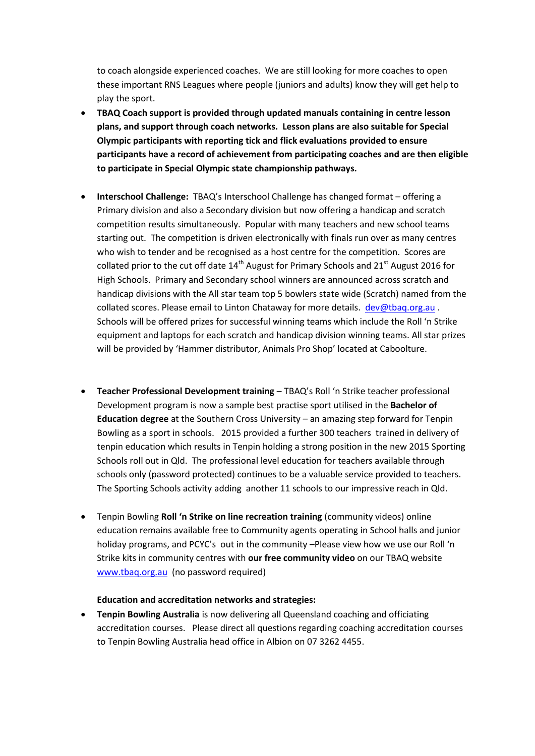to coach alongside experienced coaches. We are still looking for more coaches to open these important RNS Leagues where people (juniors and adults) know they will get help to play the sport.

- **TBAQ Coach support is provided through updated manuals containing in centre lesson plans, and support through coach networks. Lesson plans are also suitable for Special Olympic participants with reporting tick and flick evaluations provided to ensure participants have a record of achievement from participating coaches and are then eligible to participate in Special Olympic state championship pathways.**
- **Interschool Challenge:** TBAQ's Interschool Challenge has changed format offering a Primary division and also a Secondary division but now offering a handicap and scratch competition results simultaneously. Popular with many teachers and new school teams starting out. The competition is driven electronically with finals run over as many centres who wish to tender and be recognised as a host centre for the competition. Scores are collated prior to the cut off date  $14<sup>th</sup>$  August for Primary Schools and  $21<sup>st</sup>$  August 2016 for High Schools. Primary and Secondary school winners are announced across scratch and handicap divisions with the All star team top 5 bowlers state wide (Scratch) named from the collated scores. Please email to Linton Chataway for more details. [dev@tbaq.org.au](mailto:dev@tbaq.org.au). Schools will be offered prizes for successful winning teams which include the Roll 'n Strike equipment and laptops for each scratch and handicap division winning teams. All star prizes will be provided by 'Hammer distributor, Animals Pro Shop' located at Caboolture.
- **Teacher Professional Development training** TBAQ's Roll 'n Strike teacher professional Development program is now a sample best practise sport utilised in the **Bachelor of Education degree** at the Southern Cross University – an amazing step forward for Tenpin Bowling as a sport in schools. 2015 provided a further 300 teachers trained in delivery of tenpin education which results in Tenpin holding a strong position in the new 2015 Sporting Schools roll out in Qld. The professional level education for teachers available through schools only (password protected) continues to be a valuable service provided to teachers. The Sporting Schools activity adding another 11 schools to our impressive reach in Qld.
- Tenpin Bowling **Roll 'n Strike on line recreation training** (community videos) online education remains available free to Community agents operating in School halls and junior holiday programs, and PCYC's out in the community –Please view how we use our Roll 'n Strike kits in community centres with **our free community video** on our TBAQ website [www.tbaq.org.au](http://www.tbaq.org.au/) (no password required)

#### **Education and accreditation networks and strategies:**

 **Tenpin Bowling Australia** is now delivering all Queensland coaching and officiating accreditation courses. Please direct all questions regarding coaching accreditation courses to Tenpin Bowling Australia head office in Albion on 07 3262 4455.